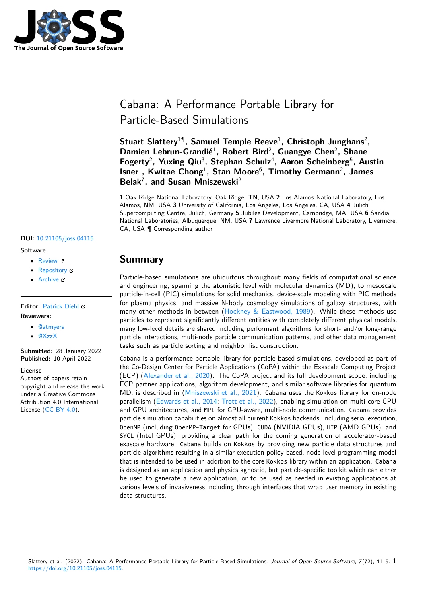

# Cabana: A Performance Portable Library for Particle-Based Simulations

**Stuart Slattery**<sup>1</sup>¶ **, Samuel Temple Reeve**<sup>1</sup> **, Christoph Junghans**<sup>2</sup> **, Damien Lebrun-Grandié**<sup>1</sup> **, Robert Bird**<sup>2</sup> **, Guangye Chen**<sup>2</sup> **, Shane** Fogerty<sup>2</sup>, Yuxing Qiu<sup>3</sup>, Stephan Schulz<sup>4</sup>, Aaron Scheinberg<sup>5</sup>, Austin **Isner**<sup>1</sup> **, Kwitae Chong**<sup>1</sup> **, Stan Moore**<sup>6</sup> **, Timothy Germann**<sup>2</sup> **, James Belak**<sup>7</sup> **, and Susan Mniszewski**<sup>2</sup>

**1** Oak Ridge National Laboratory, Oak Ridge, TN, USA **2** Los Alamos National Laboratory, Los Alamos, NM, USA **3** University of California, Los Angeles, Los Angeles, CA, USA **4** Jülich Supercomputing Centre, Jülich, Germany **5** Jubilee Development, Cambridge, MA, USA **6** Sandia National Laboratories, Albuquerque, NM, USA **7** Lawrence Livermore National Laboratory, Livermore, CA, USA ¶ Corresponding author

• [Review](https://github.com/openjournals/joss-reviews/issues/4115) &

**DOI:** [10.21105/joss.04115](https://doi.org/10.21105/joss.04115)

- [Repository](https://github.com/ECP-copa/Cabana) C
- [Archive](https://doi.org/10.5281/zenodo.6423410) &

#### **Editor:** [Patrick Diehl](http://www.diehlpk.de)

#### **Reviewers:**

**Software**

- [@atmyers](https://github.com/atmyers)
- [@XzzX](https://github.com/XzzX)

**Submitted:** 28 January 2022 **Published:** 10 April 2022

#### **License**

Authors of papers retain copyright and release the work under a Creative Commons Attribution 4.0 International License [\(CC BY 4.0\)](https://creativecommons.org/licenses/by/4.0/).

# **Summary**

Particle-based simulations are ubiquitous throughout many fields of computational science and engineering, spanning the atomistic level with molecular dynamics (MD), to mesoscale particle-in-cell (PIC) simulations for solid mechanics, device-scale modeling with PIC methods for plasma physics, and massive N-body cosmology simulations of galaxy structures, with many other methods in between [\(Hockney & Eastwood, 1989\)](#page-6-0). While these methods use particles to represent significantly different entities with completely different physical models, many low-level details are shared including performant algorithms for short- and/or long-range particle interactions, multi-node particle communication patterns, and other data management tasks such as particle sorting and neighbor list construction.

Cabana is a performance portable library for particle-based simulations, developed as part of the Co-Design Center for Particle Applications (CoPA) within the Exascale Computing Project (ECP) [\(Alexander et al., 2020\)](#page-5-0). The CoPA project and its full development scope, including ECP partner applications, algorithm development, and similar software libraries for quantum MD, is described in [\(Mniszewski et al., 2021\)](#page-6-1). Cabana uses the Kokkos library for on-node parallelism [\(Edwards et al., 2014;](#page-6-2) [Trott et al., 2022\)](#page-6-3), enabling simulation on multi-core CPU and GPU architectures, and MPI for GPU-aware, multi-node communication. Cabana provides particle simulation capabilities on almost all current Kokkos backends, including serial execution, OpenMP (including OpenMP-Target for GPUs), CUDA (NVIDIA GPUs), HIP (AMD GPUs), and SYCL (Intel GPUs), providing a clear path for the coming generation of accelerator-based exascale hardware. Cabana builds on Kokkos by providing new particle data structures and particle algorithms resulting in a similar execution policy-based, node-level programming model that is intended to be used in addition to the core Kokkos library within an application. Cabana is designed as an application and physics agnostic, but particle-specific toolkit which can either be used to generate a new application, or to be used as needed in existing applications at various levels of invasiveness including through interfaces that wrap user memory in existing data structures.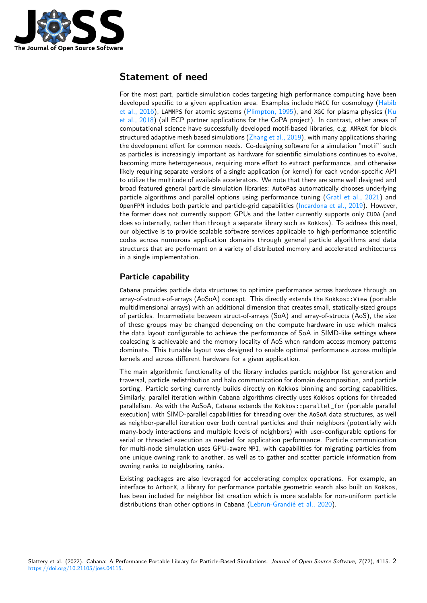

# **Statement of need**

For the most part, particle simulation codes targeting high performance computing have been developed specific to a given application area. Examples include HACC for cosmology [\(Habib](#page-6-4) [et al., 2016\)](#page-6-4), LAMMPS for atomic systems [\(Plimpton, 1995\)](#page-6-5), and XGC for plasma physics ( $Ku$ [et al., 2018\)](#page-6-6) (all ECP partner applications for the CoPA project). In contrast, other areas of computational science have successfully developed motif-based libraries, e.g. AMReX for block structured adaptive mesh based simulations [\(Zhang et al., 2019\)](#page-7-0), with many applications sharing the development effort for common needs. Co-designing software for a simulation "motif" such as particles is increasingly important as hardware for scientific simulations continues to evolve, becoming more heterogeneous, requiring more effort to extract performance, and otherwise likely requiring separate versions of a single application (or kernel) for each vendor-specific API to utilize the multitude of available accelerators. We note that there are some well designed and broad featured general particle simulation libraries: AutoPas automatically chooses underlying particle algorithms and parallel options using performance tuning [\(Gratl et al., 2021\)](#page-6-7) and OpenFPM includes both particle and particle-grid capabilities [\(Incardona et al., 2019\)](#page-6-8). However, the former does not currently support GPUs and the latter currently supports only CUDA (and does so internally, rather than through a separate library such as Kokkos). To address this need, our objective is to provide scalable software services applicable to high-performance scientific codes across numerous application domains through general particle algorithms and data structures that are performant on a variety of distributed memory and accelerated architectures in a single implementation.

### **Particle capability**

Cabana provides particle data structures to optimize performance across hardware through an array-of-structs-of-arrays (AoSoA) concept. This directly extends the Kokkos::View (portable multidimensional arrays) with an additional dimension that creates small, statically-sized groups of particles. Intermediate between struct-of-arrays (SoA) and array-of-structs (AoS), the size of these groups may be changed depending on the compute hardware in use which makes the data layout configurable to achieve the performance of SoA in SIMD-like settings where coalescing is achievable and the memory locality of AoS when random access memory patterns dominate. This tunable layout was designed to enable optimal performance across multiple kernels and across different hardware for a given application.

The main algorithmic functionality of the library includes particle neighbor list generation and traversal, particle redistribution and halo communication for domain decomposition, and particle sorting. Particle sorting currently builds directly on Kokkos binning and sorting capabilities. Similarly, parallel iteration within Cabana algorithms directly uses Kokkos options for threaded parallelism. As with the AoSoA, Cabana extends the Kokkos::parallel\_for (portable parallel execution) with SIMD-parallel capabilities for threading over the AoSoA data structures, as well as neighbor-parallel iteration over both central particles and their neighbors (potentially with many-body interactions and multiple levels of neighbors) with user-configurable options for serial or threaded execution as needed for application performance. Particle communication for multi-node simulation uses GPU-aware MPI, with capabilities for migrating particles from one unique owning rank to another, as well as to gather and scatter particle information from owning ranks to neighboring ranks.

Existing packages are also leveraged for accelerating complex operations. For example, an interface to ArborX, a library for performance portable geometric search also built on Kokkos, has been included for neighbor list creation which is more scalable for non-uniform particle distributions than other options in Cabana [\(Lebrun-Grandié et al., 2020\)](#page-6-9).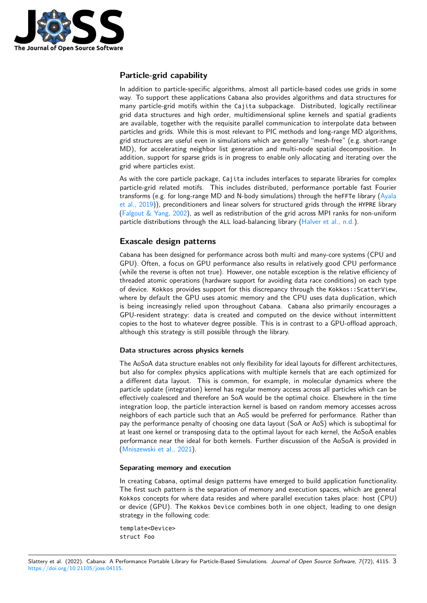

### **Particle-grid capability**

In addition to particle-specific algorithms, almost all particle-based codes use grids in some way. To support these applications Cabana also provides algorithms and data structures for many particle-grid motifs within the Cajita subpackage. Distributed, logically rectilinear grid data structures and high order, multidimensional spline kernels and spatial gradients are available, together with the requisite parallel communication to interpolate data between particles and grids. While this is most relevant to PIC methods and long-range MD algorithms, grid structures are useful even in simulations which are generally "mesh-free" (e.g. short-range MD), for accelerating neighbor list generation and multi-node spatial decomposition. In addition, support for sparse grids is in progress to enable only allocating and iterating over the grid where particles exist.

As with the core particle package, Cajita includes interfaces to separate libraries for complex particle-grid related motifs. This includes distributed, performance portable fast Fourier transforms (e.g. for long-range MD and N-body simulations) through the heFFTe library [\(Ayala](#page-5-1) [et al., 2019\)](#page-5-1)), preconditioners and linear solvers for structured grids through the HYPRE library (Falgout  $&$  Yang, 2002), as well as redistribution of the grid across MPI ranks for non-uniform particle distributions through the ALL load-balancing library [\(Halver et al., n.d.\)](#page-6-11).

#### **Exascale design patterns**

Cabana has been designed for performance across both multi and many-core systems (CPU and GPU). Often, a focus on GPU performance also results in relatively good CPU performance (while the reverse is often not true). However, one notable exception is the relative efficiency of threaded atomic operations (hardware support for avoiding data race conditions) on each type of device. Kokkos provides support for this discrepancy through the Kokkos::ScatterView, where by default the GPU uses atomic memory and the CPU uses data duplication, which is being increasingly relied upon throughout Cabana. Cabana also primarily encourages a GPU-resident strategy: data is created and computed on the device without intermittent copies to the host to whatever degree possible. This is in contrast to a GPU-offload approach, although this strategy is still possible through the library.

#### **Data structures across physics kernels**

The AoSoA data structure enables not only flexibility for ideal layouts for different architectures, but also for complex physics applications with multiple kernels that are each optimized for a different data layout. This is common, for example, in molecular dynamics where the particle update (integration) kernel has regular memory access across all particles which can be effectively coalesced and therefore an SoA would be the optimal choice. Elsewhere in the time integration loop, the particle interaction kernel is based on random memory accesses across neighbors of each particle such that an AoS would be preferred for performance. Rather than pay the performance penalty of choosing one data layout (SoA or AoS) which is suboptimal for at least one kernel or transposing data to the optimal layout for each kernel, the AoSoA enables performance near the ideal for both kernels. Further discussion of the AoSoA is provided in [\(Mniszewski et al., 2021\)](#page-6-1).

#### **Separating memory and execution**

In creating Cabana, optimal design patterns have emerged to build application functionality. The first such pattern is the separation of memory and execution spaces, which are general Kokkos concepts for where data resides and where parallel execution takes place: host (CPU) or device (GPU). The Kokkos Device combines both in one object, leading to one design strategy in the following code:

template<Device> struct Foo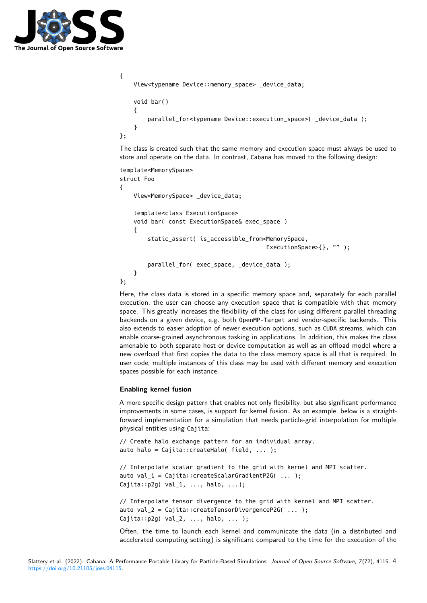

```
{
        View<typename Device::memory_space> _device_data;
        void bar()
        {
         parallel for<typename Device::execution space>( device data );
        }
};
```
The class is created such that the same memory and execution space must always be used to store and operate on the data. In contrast, Cabana has moved to the following design:

```
template<MemorySpace>
struct Foo
{
        View<MemorySpace> _device_data;
        template<class ExecutionSpace>
        void bar( const ExecutionSpace& exec_space )
        {
        static_assert( is_accessible_from<MemorySpace,
                                              ExecutionSpace>{}, "" );
        parallel for( exec space, device data );
        }
};
```
Here, the class data is stored in a specific memory space and, separately for each parallel execution, the user can choose any execution space that is compatible with that memory space. This greatly increases the flexibility of the class for using different parallel threading backends on a given device, e.g. both OpenMP-Target and vendor-specific backends. This also extends to easier adoption of newer execution options, such as CUDA streams, which can enable coarse-grained asynchronous tasking in applications. In addition, this makes the class amenable to both separate host or device computation as well as an offload model where a new overload that first copies the data to the class memory space is all that is required. In user code, multiple instances of this class may be used with different memory and execution spaces possible for each instance.

#### **Enabling kernel fusion**

A more specific design pattern that enables not only flexibility, but also significant performance improvements in some cases, is support for kernel fusion. As an example, below is a straightforward implementation for a simulation that needs particle-grid interpolation for multiple physical entities using Cajita:

```
// Create halo exchange pattern for an individual array.
auto halo = Cajita::createHalo( field, ... );
```

```
// Interpolate scalar gradient to the grid with kernel and MPI scatter.
auto val 1 = \text{Cajita::createScalarGradientP2G( ... )};Cajita::p2g( val_1, ... , halo, ...);
```

```
// Interpolate tensor divergence to the grid with kernel and MPI scatter.
auto val_2 = Cajita::createTensorDivergenceP2G( ... );
Cajita::p2g( val_2, ..., halo, ... );
```
Often, the time to launch each kernel and communicate the data (in a distributed and accelerated computing setting) is significant compared to the time for the execution of the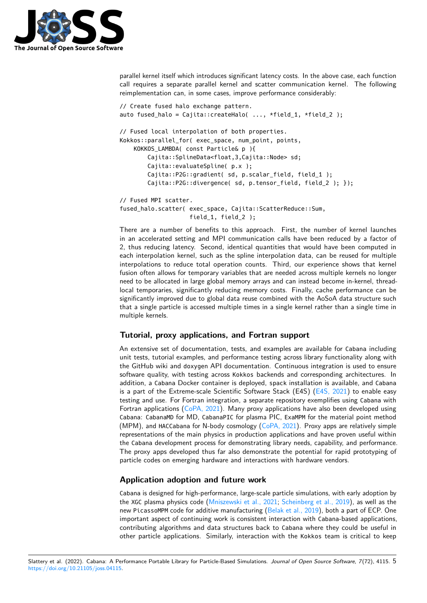

parallel kernel itself which introduces significant latency costs. In the above case, each function call requires a separate parallel kernel and scatter communication kernel. The following reimplementation can, in some cases, improve performance considerably:

```
// Create fused halo exchange pattern.
auto fused halo = Cajita::createHalo( ..., *field 1, *field 2 );
// Fused local interpolation of both properties.
Kokkos::parallel_for( exec_space, num_point, points,
        KOKKOS_LAMBDA( const Particle& p ){
                Cajita::SplineData<float,3,Cajita::Node> sd;
                Cajita::evaluateSpline( p.x );
                Cajita::P2G::gradient( sd, p.scalar_field, field_1 );
                Cajita::P2G::divergence( sd, p.tensor_field, field_2 ); });
// Fused MPI scatter.
fused halo.scatter( exec space, Cajita::ScatterReduce::Sum,
```
field\_1, field\_2 ); There are a number of benefits to this approach. First, the number of kernel launches in an accelerated setting and MPI communication calls have been reduced by a factor of 2, thus reducing latency. Second, identical quantities that would have been computed in each interpolation kernel, such as the spline interpolation data, can be reused for multiple interpolations to reduce total operation counts. Third, our experience shows that kernel fusion often allows for temporary variables that are needed across multiple kernels no longer need to be allocated in large global memory arrays and can instead become in-kernel, threadlocal temporaries, significantly reducing memory costs. Finally, cache performance can be significantly improved due to global data reuse combined with the AoSoA data structure such that a single particle is accessed multiple times in a single kernel rather than a single time in multiple kernels.

#### **Tutorial, proxy applications, and Fortran support**

An extensive set of documentation, tests, and examples are available for Cabana including unit tests, tutorial examples, and performance testing across library functionality along with the GitHub wiki and doxygen API documentation. Continuous integration is used to ensure software quality, with testing across Kokkos backends and corresponding architectures. In addition, a Cabana Docker container is deployed, spack installation is available, and Cabana is a part of the Extreme-scale Scientific Software Stack (E4S) [\(E4S, 2021\)](#page-6-12) to enable easy testing and use. For Fortran integration, a separate repository exemplifies using Cabana with Fortran applications [\(CoPA, 2021\)](#page-5-2). Many proxy applications have also been developed using Cabana: CabanaMD for MD, CabanaPIC for plasma PIC, ExaMPM for the material point method (MPM), and HACCabana for N-body cosmology ( $CoPA$ , 2021). Proxy apps are relatively simple representations of the main physics in production applications and have proven useful within the Cabana development process for demonstrating library needs, capability, and performance. The proxy apps developed thus far also demonstrate the potential for rapid prototyping of particle codes on emerging hardware and interactions with hardware vendors.

#### **Application adoption and future work**

Cabana is designed for high-performance, large-scale particle simulations, with early adoption by the XGC plasma physics code [\(Mniszewski et al., 2021;](#page-6-1) [Scheinberg et al., 2019\)](#page-6-13), as well as the new PicassoMPM code for additive manufacturing [\(Belak et al., 2019\)](#page-5-3), both a part of ECP. One important aspect of continuing work is consistent interaction with Cabana-based applications, contributing algorithms and data structures back to Cabana where they could be useful in other particle applications. Similarly, interaction with the Kokkos team is critical to keep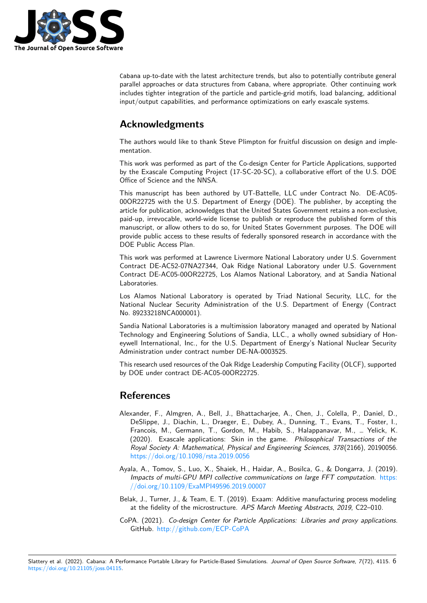

Cabana up-to-date with the latest architecture trends, but also to potentially contribute general parallel approaches or data structures from Cabana, where appropriate. Other continuing work includes tighter integration of the particle and particle-grid motifs, load balancing, additional input/output capabilities, and performance optimizations on early exascale systems.

# **Acknowledgments**

The authors would like to thank Steve Plimpton for fruitful discussion on design and implementation.

This work was performed as part of the Co-design Center for Particle Applications, supported by the Exascale Computing Project (17-SC-20-SC), a collaborative effort of the U.S. DOE Office of Science and the NNSA.

This manuscript has been authored by UT-Battelle, LLC under Contract No. DE-AC05- 00OR22725 with the U.S. Department of Energy (DOE). The publisher, by accepting the article for publication, acknowledges that the United States Government retains a non-exclusive, paid-up, irrevocable, world-wide license to publish or reproduce the published form of this manuscript, or allow others to do so, for United States Government purposes. The DOE will provide public access to these results of federally sponsored research in accordance with the DOE Public Access Plan.

This work was performed at Lawrence Livermore National Laboratory under U.S. Government Contract DE-AC52-07NA27344, Oak Ridge National Laboratory under U.S. Government Contract DE-AC05-00OR22725, Los Alamos National Laboratory, and at Sandia National Laboratories.

Los Alamos National Laboratory is operated by Triad National Security, LLC, for the National Nuclear Security Administration of the U.S. Department of Energy (Contract No. 89233218NCA000001).

Sandia National Laboratories is a multimission laboratory managed and operated by National Technology and Engineering Solutions of Sandia, LLC., a wholly owned subsidiary of Honeywell International, Inc., for the U.S. Department of Energy's National Nuclear Security Administration under contract number DE-NA-0003525.

This research used resources of the Oak Ridge Leadership Computing Facility (OLCF), supported by DOE under contract DE-AC05-00OR22725.

# **References**

- <span id="page-5-0"></span>Alexander, F., Almgren, A., Bell, J., Bhattacharjee, A., Chen, J., Colella, P., Daniel, D., DeSlippe, J., Diachin, L., Draeger, E., Dubey, A., Dunning, T., Evans, T., Foster, I., Francois, M., Germann, T., Gordon, M., Habib, S., Halappanavar, M., … Yelick, K. (2020). Exascale applications: Skin in the game. Philosophical Transactions of the Royal Society A: Mathematical, Physical and Engineering Sciences, 378(2166), 20190056. <https://doi.org/10.1098/rsta.2019.0056>
- <span id="page-5-1"></span>Ayala, A., Tomov, S., Luo, X., Shaiek, H., Haidar, A., Bosilca, G., & Dongarra, J. (2019). Impacts of multi-GPU MPI collective communications on large FFT computation. [https:](https://doi.org/10.1109/ExaMPI49596.2019.00007) [//doi.org/10.1109/ExaMPI49596.2019.00007](https://doi.org/10.1109/ExaMPI49596.2019.00007)
- <span id="page-5-3"></span>Belak, J., Turner, J., & Team, E. T. (2019). Exaam: Additive manufacturing process modeling at the fidelity of the microstructure. APS March Meeting Abstracts, 2019, C22–010.
- <span id="page-5-2"></span>CoPA. (2021). Co-design Center for Particle Applications: Libraries and proxy applications. GitHub. <http://github.com/ECP-CoPA>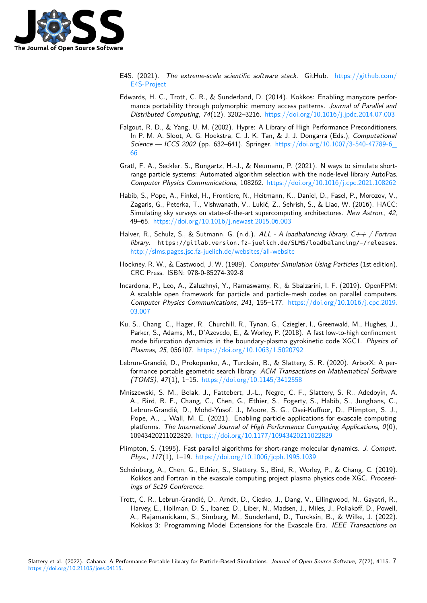

- <span id="page-6-12"></span>E4S. (2021). The extreme-scale scientific software stack. GitHub. [https://github.com/](https://github.com/E4S-Project) [E4S-Project](https://github.com/E4S-Project)
- <span id="page-6-2"></span>Edwards, H. C., Trott, C. R., & Sunderland, D. (2014). Kokkos: Enabling manycore performance portability through polymorphic memory access patterns. Journal of Parallel and Distributed Computing, 74(12), 3202–3216. <https://doi.org/10.1016/j.jpdc.2014.07.003>
- <span id="page-6-10"></span>Falgout, R. D., & Yang, U. M. (2002). Hypre: A Library of High Performance Preconditioners. In P. M. A. Sloot, A. G. Hoekstra, C. J. K. Tan, & J. J. Dongarra (Eds.), Computational Science — ICCS 2002 (pp. 632–641). Springer. https://doi.org/10.1007/3-540-47789-6 [66](https://doi.org/10.1007/3-540-47789-6_66)
- <span id="page-6-7"></span>Gratl, F. A., Seckler, S., Bungartz, H.-J., & Neumann, P. (2021). N ways to simulate shortrange particle systems: Automated algorithm selection with the node-level library AutoPas. Computer Physics Communications, 108262. <https://doi.org/10.1016/j.cpc.2021.108262>
- <span id="page-6-4"></span>Habib, S., Pope, A., Finkel, H., Frontiere, N., Heitmann, K., Daniel, D., Fasel, P., Morozov, V., Zagaris, G., Peterka, T., Vishwanath, V., Lukić, Z., Sehrish, S., & Liao, W. (2016). HACC: Simulating sky surveys on state-of-the-art supercomputing architectures. New Astron., 42, 49–65. <https://doi.org/10.1016/j.newast.2015.06.003>
- <span id="page-6-11"></span>Halver, R., Schulz, S., & Sutmann, G. (n.d.). ALL - A loadbalancing library,  $C_{++}$  / Fortran library. https://gitlab.version.fz-juelich.de/SLMS/loadbalancing/-/releases. <http://slms.pages.jsc.fz-juelich.de/websites/all-website>
- <span id="page-6-0"></span>Hockney, R. W., & Eastwood, J. W. (1989). Computer Simulation Using Particles (1st edition). CRC Press. ISBN: 978-0-85274-392-8
- <span id="page-6-8"></span>Incardona, P., Leo, A., Zaluzhnyi, Y., Ramaswamy, R., & Sbalzarini, I. F. (2019). OpenFPM: A scalable open framework for particle and particle-mesh codes on parallel computers. Computer Physics Communications, 241, 155–177. [https://doi.org/10.1016/j.cpc.2019.](https://doi.org/10.1016/j.cpc.2019.03.007) [03.007](https://doi.org/10.1016/j.cpc.2019.03.007)
- <span id="page-6-6"></span>Ku, S., Chang, C., Hager, R., Churchill, R., Tynan, G., Cziegler, I., Greenwald, M., Hughes, J., Parker, S., Adams, M., D'Azevedo, E., & Worley, P. (2018). A fast low-to-high confinement mode bifurcation dynamics in the boundary-plasma gyrokinetic code XGC1. Physics of Plasmas, 25, 056107. <https://doi.org/10.1063/1.5020792>
- <span id="page-6-9"></span>Lebrun-Grandié, D., Prokopenko, A., Turcksin, B., & Slattery, S. R. (2020). ArborX: A performance portable geometric search library. ACM Transactions on Mathematical Software (TOMS), 47(1), 1–15. <https://doi.org/10.1145/3412558>
- <span id="page-6-1"></span>Mniszewski, S. M., Belak, J., Fattebert, J.-L., Negre, C. F., Slattery, S. R., Adedoyin, A. A., Bird, R. F., Chang, C., Chen, G., Ethier, S., Fogerty, S., Habib, S., Junghans, C., Lebrun-Grandié, D., Mohd-Yusof, J., Moore, S. G., Osei-Kuffuor, D., Plimpton, S. J., Pope, A., … Wall, M. E. (2021). Enabling particle applications for exascale computing platforms. The International Journal of High Performance Computing Applications, 0(0), 10943420211022829. <https://doi.org/10.1177/10943420211022829>
- <span id="page-6-5"></span>Plimpton, S. (1995). Fast parallel algorithms for short-range molecular dynamics. J. Comput. Phys., 117(1), 1–19. <https://doi.org/10.1006/jcph.1995.1039>
- <span id="page-6-13"></span>Scheinberg, A., Chen, G., Ethier, S., Slattery, S., Bird, R., Worley, P., & Chang, C. (2019). Kokkos and Fortran in the exascale computing project plasma physics code XGC. Proceedings of Sc19 Conference.
- <span id="page-6-3"></span>Trott, C. R., Lebrun-Grandié, D., Arndt, D., Ciesko, J., Dang, V., Ellingwood, N., Gayatri, R., Harvey, E., Hollman, D. S., Ibanez, D., Liber, N., Madsen, J., Miles, J., Poliakoff, D., Powell, A., Rajamanickam, S., Simberg, M., Sunderland, D., Turcksin, B., & Wilke, J. (2022). Kokkos 3: Programming Model Extensions for the Exascale Era. IEEE Transactions on